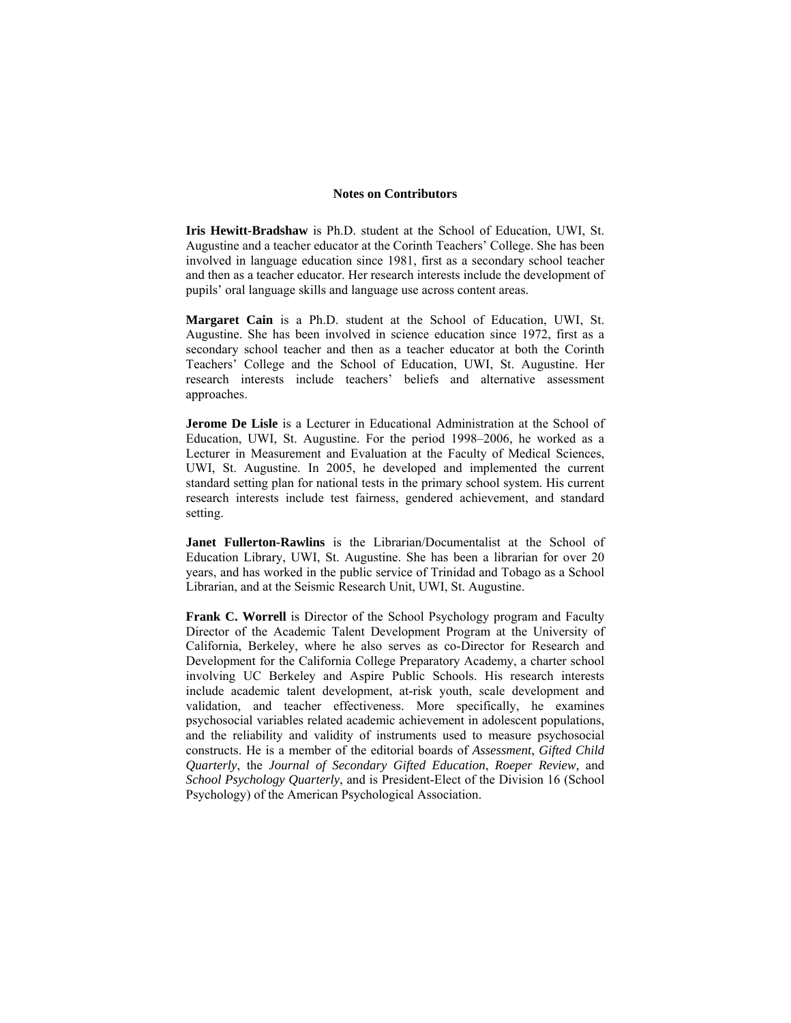## **Notes on Contributors**

**Iris Hewitt-Bradshaw** is Ph.D. student at the School of Education, UWI, St. Augustine and a teacher educator at the Corinth Teachers' College. She has been involved in language education since 1981, first as a secondary school teacher and then as a teacher educator. Her research interests include the development of pupils' oral language skills and language use across content areas.

**Margaret Cain** is a Ph.D. student at the School of Education, UWI, St. Augustine. She has been involved in science education since 1972, first as a secondary school teacher and then as a teacher educator at both the Corinth Teachers' College and the School of Education, UWI, St. Augustine. Her research interests include teachers' beliefs and alternative assessment approaches.

**Jerome De Lisle** is a Lecturer in Educational Administration at the School of Education, UWI, St. Augustine. For the period 1998–2006, he worked as a Lecturer in Measurement and Evaluation at the Faculty of Medical Sciences, UWI, St. Augustine. In 2005, he developed and implemented the current standard setting plan for national tests in the primary school system. His current research interests include test fairness, gendered achievement, and standard setting.

**Janet Fullerton-Rawlins** is the Librarian/Documentalist at the School of Education Library, UWI, St. Augustine. She has been a librarian for over 20 years, and has worked in the public service of Trinidad and Tobago as a School Librarian, and at the Seismic Research Unit, UWI, St. Augustine.

**Frank C. Worrell** is Director of the School Psychology program and Faculty Director of the Academic Talent Development Program at the University of California, Berkeley, where he also serves as co-Director for Research and Development for the California College Preparatory Academy, a charter school involving UC Berkeley and Aspire Public Schools. His research interests include academic talent development, at-risk youth, scale development and validation, and teacher effectiveness. More specifically, he examines psychosocial variables related academic achievement in adolescent populations, and the reliability and validity of instruments used to measure psychosocial constructs. He is a member of the editorial boards of *Assessment*, *Gifted Child Quarterly*, the *Journal of Secondary Gifted Education*, *Roeper Review,* and *School Psychology Quarterly*, and is President-Elect of the Division 16 (School Psychology) of the American Psychological Association.